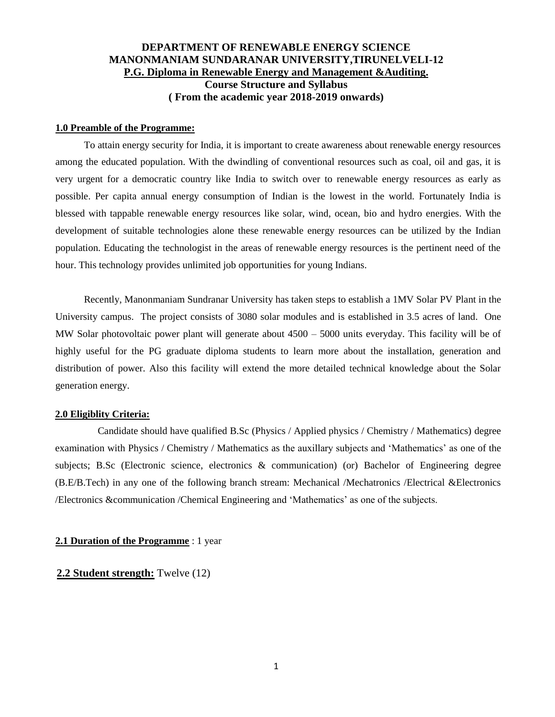# **DEPARTMENT OF RENEWABLE ENERGY SCIENCE MANONMANIAM SUNDARANAR UNIVERSITY,TIRUNELVELI-12 P.G. Diploma in Renewable Energy and Management &Auditing. Course Structure and Syllabus ( From the academic year 2018-2019 onwards)**

#### **1.0 Preamble of the Programme:**

To attain energy security for India, it is important to create awareness about renewable energy resources among the educated population. With the dwindling of conventional resources such as coal, oil and gas, it is very urgent for a democratic country like India to switch over to renewable energy resources as early as possible. Per capita annual energy consumption of Indian is the lowest in the world. Fortunately India is blessed with tappable renewable energy resources like solar, wind, ocean, bio and hydro energies. With the development of suitable technologies alone these renewable energy resources can be utilized by the Indian population. Educating the technologist in the areas of renewable energy resources is the pertinent need of the hour. This technology provides unlimited job opportunities for young Indians.

Recently, Manonmaniam Sundranar University has taken steps to establish a 1MV Solar PV Plant in the University campus. The project consists of 3080 solar modules and is established in 3.5 acres of land. One MW Solar photovoltaic power plant will generate about 4500 – 5000 units everyday. This facility will be of highly useful for the PG graduate diploma students to learn more about the installation, generation and distribution of power. Also this facility will extend the more detailed technical knowledge about the Solar generation energy.

#### **2.0 Eligiblity Criteria:**

Candidate should have qualified B.Sc (Physics / Applied physics / Chemistry / Mathematics) degree examination with Physics / Chemistry / Mathematics as the auxillary subjects and "Mathematics" as one of the subjects; B.Sc (Electronic science, electronics & communication) (or) Bachelor of Engineering degree (B.E/B.Tech) in any one of the following branch stream: Mechanical /Mechatronics /Electrical &Electronics /Electronics &communication /Chemical Engineering and "Mathematics" as one of the subjects.

#### **2.1 Duration of the Programme** : 1 year

#### **2.2 Student strength:** Twelve (12)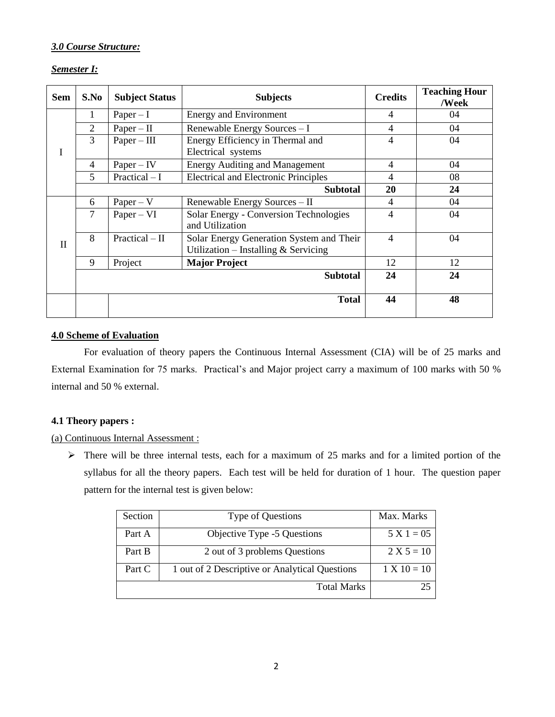# *3.0 Course Structure:*

## *Semester I:*

| <b>Sem</b>   | S.No           | <b>Subject Status</b>                                        | <b>Subjects</b>                                                                    | <b>Credits</b> | <b>Teaching Hour</b><br>/Week |
|--------------|----------------|--------------------------------------------------------------|------------------------------------------------------------------------------------|----------------|-------------------------------|
|              | 1              | $Paper - I$                                                  | <b>Energy and Environment</b>                                                      | $\overline{4}$ | 04                            |
|              | $\overline{2}$ | $Paper - II$                                                 | Renewable Energy Sources - I                                                       | 4              | 04                            |
|              | $\overline{3}$ | $Paper - III$                                                | Energy Efficiency in Thermal and                                                   | $\overline{4}$ | 04                            |
| I            |                |                                                              | Electrical systems                                                                 |                |                               |
|              | $\overline{4}$ | $Paper - IV$                                                 | <b>Energy Auditing and Management</b>                                              | $\overline{4}$ | 04                            |
|              | 5              | $Practical-I$<br><b>Electrical and Electronic Principles</b> |                                                                                    | 4              | 08                            |
|              |                |                                                              | 20                                                                                 | 24             |                               |
|              | 6              | $Paper - V$                                                  | Renewable Energy Sources - II                                                      | 4              | 04                            |
|              | $\overline{7}$ | $Paper - VI$                                                 | Solar Energy - Conversion Technologies<br>and Utilization                          | $\overline{4}$ | 04                            |
| $\mathbf{I}$ | 8              | $Practical - II$                                             | Solar Energy Generation System and Their<br>Utilization – Installing $&$ Servicing | $\overline{4}$ | 04                            |
|              | 9              | Project                                                      | <b>Major Project</b>                                                               | 12             | 12                            |
|              |                |                                                              | <b>Subtotal</b>                                                                    | 24             | 24                            |
|              |                |                                                              | <b>Total</b>                                                                       | 44             | 48                            |

# **4.0 Scheme of Evaluation**

For evaluation of theory papers the Continuous Internal Assessment (CIA) will be of 25 marks and External Examination for 75 marks. Practical"s and Major project carry a maximum of 100 marks with 50 % internal and 50 % external.

## **4.1 Theory papers :**

## (a) Continuous Internal Assessment :

 $\triangleright$  There will be three internal tests, each for a maximum of 25 marks and for a limited portion of the syllabus for all the theory papers. Each test will be held for duration of 1 hour. The question paper pattern for the internal test is given below:

| <b>Section</b> | Type of Questions                              | Max. Marks    |
|----------------|------------------------------------------------|---------------|
| Part A         | Objective Type -5 Questions                    | $5 X 1 = 05$  |
| Part B         | 2 out of 3 problems Questions                  | $2 X 5 = 10$  |
| Part C         | 1 out of 2 Descriptive or Analytical Questions | $1 X 10 = 10$ |
|                | 25                                             |               |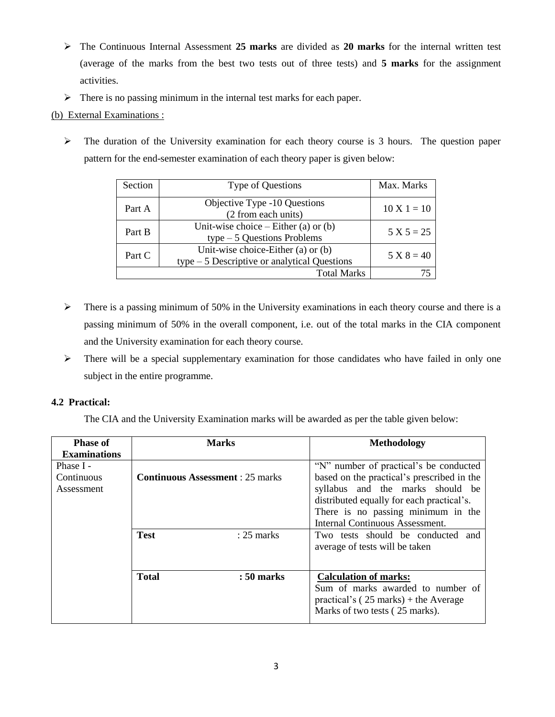- The Continuous Internal Assessment **25 marks** are divided as **20 marks** for the internal written test (average of the marks from the best two tests out of three tests) and **5 marks** for the assignment activities.
- $\triangleright$  There is no passing minimum in the internal test marks for each paper.

# (b) External Examinations :

 $\triangleright$  The duration of the University examination for each theory course is 3 hours. The question paper pattern for the end-semester examination of each theory paper is given below:

| Section | Type of Questions                                                                  | Max. Marks    |
|---------|------------------------------------------------------------------------------------|---------------|
| Part A  | Objective Type -10 Questions<br>(2 from each units)                                | $10 X 1 = 10$ |
| Part B  | Unit-wise choice $-$ Either (a) or (b)<br>$type-5$ Questions Problems              | $5 X 5 = 25$  |
| Part C  | Unit-wise choice-Either (a) or (b)<br>$type-5$ Descriptive or analytical Questions | $5 X 8 = 40$  |
|         | <b>Total Marks</b>                                                                 |               |

- $\triangleright$  There is a passing minimum of 50% in the University examinations in each theory course and there is a passing minimum of 50% in the overall component, i.e. out of the total marks in the CIA component and the University examination for each theory course.
- $\triangleright$  There will be a special supplementary examination for those candidates who have failed in only one subject in the entire programme.

# **4.2 Practical:**

The CIA and the University Examination marks will be awarded as per the table given below:

| <b>Phase of</b><br><b>Examinations</b> | <b>Marks</b>                            |              | <b>Methodology</b>                                                                                                                                                                                                                             |  |
|----------------------------------------|-----------------------------------------|--------------|------------------------------------------------------------------------------------------------------------------------------------------------------------------------------------------------------------------------------------------------|--|
| Phase I -<br>Continuous<br>Assessment  | <b>Continuous Assessment</b> : 25 marks |              | "N" number of practical's be conducted<br>based on the practical's prescribed in the<br>syllabus and the marks should be<br>distributed equally for each practical's.<br>There is no passing minimum in the<br>Internal Continuous Assessment. |  |
|                                        | <b>Test</b><br>$: 25$ marks             |              | Two tests should be conducted and<br>average of tests will be taken                                                                                                                                                                            |  |
|                                        | <b>Total</b>                            | $: 50$ marks | <b>Calculation of marks:</b><br>Sum of marks awarded to number of<br>practical's ( $25$ marks) + the Average<br>Marks of two tests (25 marks).                                                                                                 |  |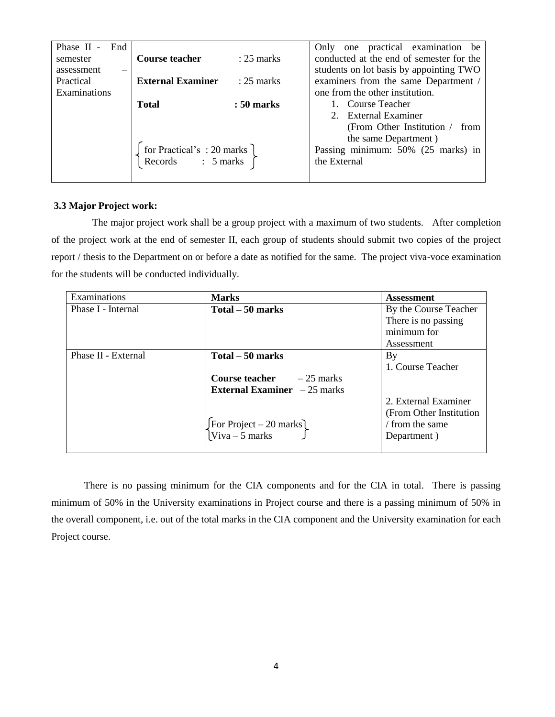| Phase II<br>End<br>$\sim$ |                                                                                                        |              | Only one practical examination be        |  |
|---------------------------|--------------------------------------------------------------------------------------------------------|--------------|------------------------------------------|--|
| semester                  | <b>Course teacher</b>                                                                                  | $: 25$ marks | conducted at the end of semester for the |  |
| assessment<br>-           |                                                                                                        |              | students on lot basis by appointing TWO  |  |
| Practical                 | <b>External Examiner</b>                                                                               | $: 25$ marks | examiners from the same Department /     |  |
| Examinations              |                                                                                                        |              | one from the other institution.          |  |
|                           | <b>Total</b>                                                                                           | $: 50$ marks | 1. Course Teacher                        |  |
|                           |                                                                                                        |              | 2. External Examiner                     |  |
|                           |                                                                                                        |              | (From Other Institution /<br>from        |  |
|                           |                                                                                                        |              | the same Department)                     |  |
|                           | $\left\{ \begin{array}{l} \text{for Practical's : 20 marks} \\ \text{Records} \\ \end{array} \right\}$ |              | Passing minimum: 50% (25 marks) in       |  |
|                           |                                                                                                        |              | the External                             |  |
|                           |                                                                                                        |              |                                          |  |

#### **3.3 Major Project work:**

The major project work shall be a group project with a maximum of two students. After completion of the project work at the end of semester II, each group of students should submit two copies of the project report / thesis to the Department on or before a date as notified for the same. The project viva-voce examination for the students will be conducted individually.

| Examinations        | <b>Marks</b>                                | <b>Assessment</b>        |
|---------------------|---------------------------------------------|--------------------------|
| Phase I - Internal  | $Total - 50 marks$                          | By the Course Teacher    |
|                     |                                             | There is no passing      |
|                     |                                             | minimum for              |
|                     |                                             | Assessment               |
| Phase II - External | Total – 50 marks                            | $\mathbf{B} \mathbf{y}$  |
|                     |                                             | 1. Course Teacher        |
|                     | <b>Course teacher</b> $-25$ marks           |                          |
|                     | <b>External Examiner</b> $-25$ marks        |                          |
|                     |                                             | 2. External Examiner     |
|                     |                                             | (From Other Institution) |
|                     | For Project – 20 marks]<br>  Viva – 5 marks | / from the same          |
|                     |                                             | Department)              |
|                     |                                             |                          |

There is no passing minimum for the CIA components and for the CIA in total. There is passing minimum of 50% in the University examinations in Project course and there is a passing minimum of 50% in the overall component, i.e. out of the total marks in the CIA component and the University examination for each Project course.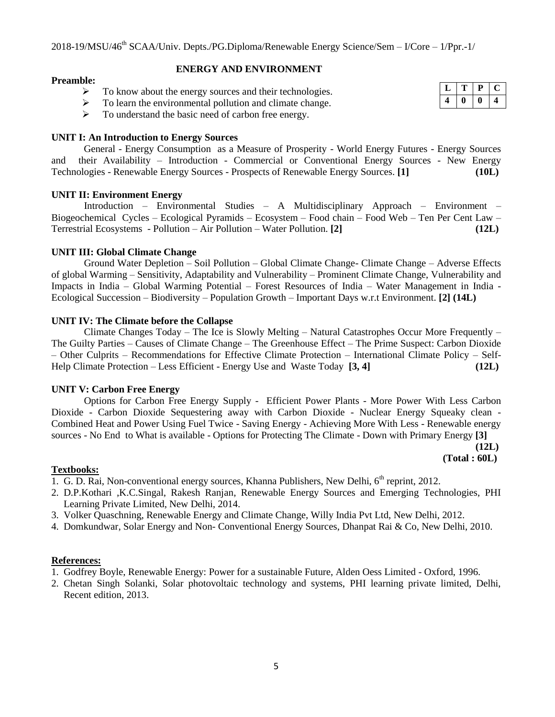#### **ENERGY AND ENVIRONMENT**

#### **Preamble:**

 $\triangleright$  To know about the energy sources and their technologies.

 $\triangleright$  To learn the environmental pollution and climate change.  $\triangleright$  To understand the basic need of carbon free energy.

#### **UNIT I: An Introduction to Energy Sources**

 General - Energy Consumption as a Measure of Prosperity - World Energy Futures - Energy Sources and their Availability – Introduction - Commercial or Conventional Energy Sources - New Energy Technologies - Renewable Energy Sources - Prospects of Renewable Energy Sources. **[1] (10L)**

#### **UNIT II: Environment Energy**

Introduction – Environmental Studies – A Multidisciplinary Approach – Environment – Biogeochemical Cycles – Ecological Pyramids – Ecosystem – Food chain – Food Web – Ten Per Cent Law – Terrestrial Ecosystems - Pollution – Air Pollution – Water Pollution. **[2] (12L)**

#### **UNIT III: Global Climate Change**

Ground Water Depletion – Soil Pollution – Global Climate Change- Climate Change – Adverse Effects of global Warming – Sensitivity, Adaptability and Vulnerability – Prominent Climate Change, Vulnerability and Impacts in India – Global Warming Potential – Forest Resources of India – Water Management in India - Ecological Succession – Biodiversity – Population Growth – Important Days w.r.t Environment. **[2] (14L)**

#### **UNIT IV: The Climate before the Collapse**

Climate Changes Today – The Ice is Slowly Melting – Natural Catastrophes Occur More Frequently – The Guilty Parties – Causes of Climate Change – The Greenhouse Effect – The Prime Suspect: Carbon Dioxide – Other Culprits – Recommendations for Effective Climate Protection – International Climate Policy – Self-Help Climate Protection – Less Efficient - Energy Use and Waste Today **[3, 4] (12L)**

#### **UNIT V: Carbon Free Energy**

Options for Carbon Free Energy Supply - Efficient Power Plants - More Power With Less Carbon Dioxide - Carbon Dioxide Sequestering away with Carbon Dioxide - Nuclear Energy Squeaky clean - Combined Heat and Power Using Fuel Twice - Saving Energy - Achieving More With Less - Renewable energy sources - No End to What is available - Options for Protecting The Climate - Down with Primary Energy **[3]**

> **(12L) (Total : 60L)**

## **Textbooks:**

- 1. G. D. Rai, Non-conventional energy sources, Khanna Publishers, New Delhi,  $6<sup>th</sup>$  reprint, 2012.
- 2. D.P.Kothari ,K.C.Singal, Rakesh Ranjan, Renewable Energy Sources and Emerging Technologies, PHI Learning Private Limited, New Delhi, 2014.
- 3. Volker Quaschning, Renewable Energy and Climate Change, Willy India Pvt Ltd, New Delhi, 2012.
- 4. Domkundwar, Solar Energy and Non- Conventional Energy Sources, Dhanpat Rai & Co, New Delhi, 2010.

## **References:**

- 1. Godfrey Boyle, Renewable Energy: Power for a sustainable Future, Alden Oess Limited Oxford, 1996.
- 2. Chetan Singh Solanki, Solar photovoltaic technology and systems, PHI learning private limited, Delhi, Recent edition, 2013.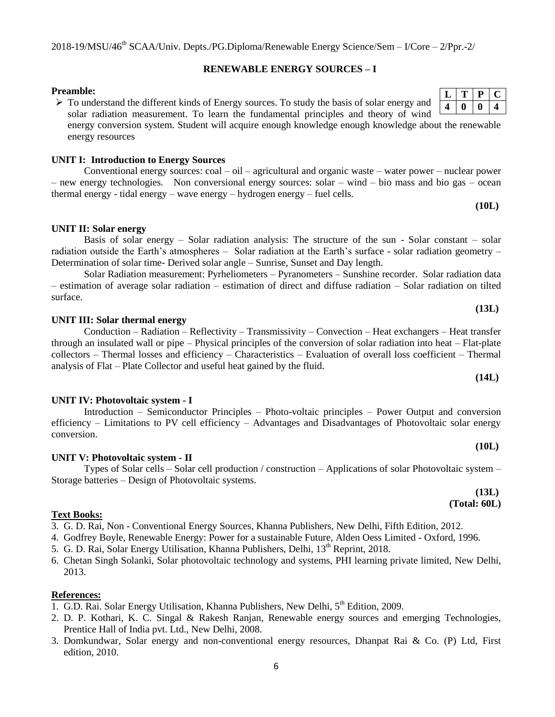#### **RENEWABLE ENERGY SOURCES – I**

#### **Preamble:**

 $\triangleright$  To understand the different kinds of Energy sources. To study the basis of solar energy and solar radiation measurement. To learn the fundamental principles and theory of wind energy conversion system. Student will acquire enough knowledge enough knowledge about the renewable energy resources

#### **UNIT I: Introduction to Energy Sources**

Conventional energy sources: coal – oil – agricultural and organic waste – water power – nuclear power – new energy technologies. Non conversional energy sources: solar – wind – bio mass and bio gas – ocean thermal energy - tidal energy – wave energy – hydrogen energy – fuel cells.

#### **UNIT II: Solar energy**

# Basis of solar energy – Solar radiation analysis: The structure of the sun - Solar constant – solar radiation outside the Earth"s atmospheres – Solar radiation at the Earth"s surface - solar radiation geometry – Determination of solar time- Derived solar angle – Sunrise, Sunset and Day length.

Solar Radiation measurement: Pyrheliometers – Pyranometers – Sunshine recorder. Solar radiation data – estimation of average solar radiation – estimation of direct and diffuse radiation – Solar radiation on tilted surface.

#### **UNIT III: Solar thermal energy**

Conduction – Radiation – Reflectivity – Transmissivity – Convection – Heat exchangers – Heat transfer through an insulated wall or pipe – Physical principles of the conversion of solar radiation into heat – Flat-plate collectors – Thermal losses and efficiency – Characteristics – Evaluation of overall loss coefficient – Thermal analysis of Flat – Plate Collector and useful heat gained by the fluid.

#### **UNIT IV: Photovoltaic system - I**

Introduction – Semiconductor Principles – Photo-voltaic principles – Power Output and conversion efficiency – Limitations to PV cell efficiency – Advantages and Disadvantages of Photovoltaic solar energy conversion.

#### **UNIT V: Photovoltaic system - II**

Types of Solar cells – Solar cell production / construction – Applications of solar Photovoltaic system – Storage batteries – Design of Photovoltaic systems.

# **Text Books:**

3. G. D. Rai, Non - Conventional Energy Sources, Khanna Publishers, New Delhi, Fifth Edition, 2012.

- 4. Godfrey Boyle, Renewable Energy: Power for a sustainable Future, Alden Oess Limited Oxford, 1996.
- 5. G. D. Rai, Solar Energy Utilisation, Khanna Publishers, Delhi, 13<sup>th</sup> Reprint, 2018.
- 6. Chetan Singh Solanki, Solar photovoltaic technology and systems, PHI learning private limited, New Delhi, 2013.

#### **References:**

- 1. G.D. Rai. Solar Energy Utilisation, Khanna Publishers, New Delhi, 5<sup>th</sup> Edition, 2009.
- 2. D. P. Kothari, K. C. Singal & Rakesh Ranjan, Renewable energy sources and emerging Technologies, Prentice Hall of India pvt. Ltd., New Delhi, 2008.
- 3. Domkundwar, Solar energy and non-conventional energy resources, Dhanpat Rai & Co. (P) Ltd, First edition, 2010.

**(14L)**

**(13L)**

**(10L)**

#### **(10L)**

# **(13L)**

# **(Total: 60L)**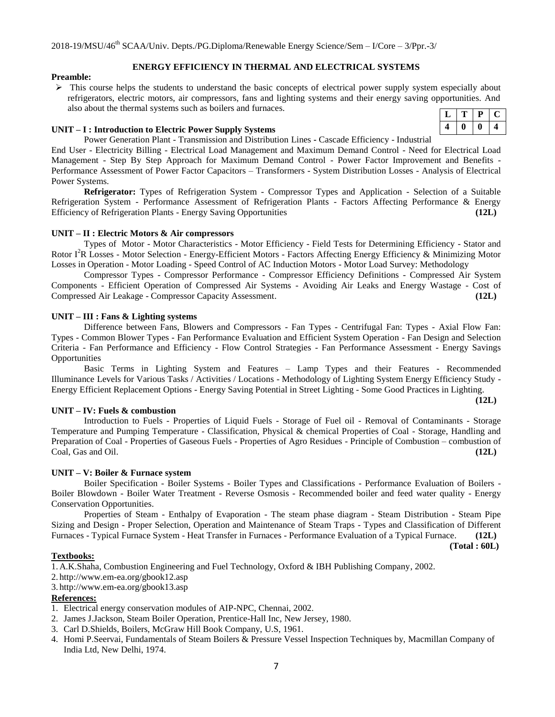#### **ENERGY EFFICIENCY IN THERMAL AND ELECTRICAL SYSTEMS**

#### **Preamble:**

 $\triangleright$  This course helps the students to understand the basic concepts of electrical power supply system especially about refrigerators, electric motors, air compressors, fans and lighting systems and their energy saving opportunities. And also about the thermal systems such as boilers and furnaces.

#### **UNIT – I : Introduction to Electric Power Supply Systems**

Power Generation Plant - Transmission and Distribution Lines **-** Cascade Efficiency - Industrial

End User - Electricity Billing - Electrical Load Management and Maximum Demand Control - Need for Electrical Load Management - Step By Step Approach for Maximum Demand Control - Power Factor Improvement and Benefits - Performance Assessment of Power Factor Capacitors – Transformers - System Distribution Losses - Analysis of Electrical Power Systems.

**Refrigerator:** Types of Refrigeration System - Compressor Types and Application - Selection of a Suitable Refrigeration System - Performance Assessment of Refrigeration Plants - Factors Affecting Performance & Energy Efficiency of Refrigeration Plants - Energy Saving Opportunities **(12L)**

#### **UNIT – II : Electric Motors & Air compressors**

Types of Motor - Motor Characteristics - Motor Efficiency - Field Tests for Determining Efficiency - Stator and Rotor I<sup>2</sup>R Losses - Motor Selection - Energy-Efficient Motors - Factors Affecting Energy Efficiency & Minimizing Motor Losses in Operation - Motor Loading - Speed Control of AC Induction Motors - Motor Load Survey: Methodology

Compressor Types - Compressor Performance - Compressor Efficiency Definitions - Compressed Air System Components - Efficient Operation of Compressed Air Systems - Avoiding Air Leaks and Energy Wastage - Cost of Compressed Air Leakage - Compressor Capacity Assessment. **(12L)**

#### **UNIT – III : Fans & Lighting systems**

Difference between Fans, Blowers and Compressors - Fan Types - Centrifugal Fan: Types - Axial Flow Fan: Types - Common Blower Types - Fan Performance Evaluation and Efficient System Operation - Fan Design and Selection Criteria - Fan Performance and Efficiency - Flow Control Strategies - Fan Performance Assessment - Energy Savings **Opportunities** 

Basic Terms in Lighting System and Features – Lamp Types and their Features - Recommended Illuminance Levels for Various Tasks / Activities / Locations - Methodology of Lighting System Energy Efficiency Study - Energy Efficient Replacement Options - Energy Saving Potential in Street Lighting - Some Good Practices in Lighting.

#### **UNIT – IV: Fuels & combustion**

Introduction to Fuels - Properties of Liquid Fuels - Storage of Fuel oil - Removal of Contaminants - Storage Temperature and Pumping Temperature - Classification, Physical & chemical Properties of Coal - Storage, Handling and Preparation of Coal - Properties of Gaseous Fuels - Properties of Agro Residues - Principle of Combustion – combustion of Coal, Gas and Oil. **(12L)**

#### **UNIT – V: Boiler & Furnace system**

Boiler Specification - Boiler Systems - Boiler Types and Classifications - Performance Evaluation of Boilers - Boiler Blowdown - Boiler Water Treatment - Reverse Osmosis - Recommended boiler and feed water quality - Energy Conservation Opportunities.

Properties of Steam - Enthalpy of Evaporation - The steam phase diagram - Steam Distribution - Steam Pipe Sizing and Design - Proper Selection, Operation and Maintenance of Steam Traps - Types and Classification of Different Furnaces - Typical Furnace System - Heat Transfer in Furnaces - Performance Evaluation of a Typical Furnace. **(12L)**

**(Total : 60L)**

**(12L)**

#### **Textbooks:**

1. A.K.Shaha, Combustion Engineering and Fuel Technology, Oxford & IBH Publishing Company, 2002.

2. http://www.em-ea.org/gbook12.asp

3. http://www.em-ea.org/gbook13.asp

## **References:**

- 1. Electrical energy conservation modules of AIP-NPC, Chennai, 2002.
- 2. James J.Jackson, Steam Boiler Operation, Prentice-Hall Inc, New Jersey, 1980.
- 3. Carl D.Shields, Boilers, McGraw Hill Book Company, U.S, 1961.
- 4. Homi P.Seervai, Fundamentals of Steam Boilers & Pressure Vessel Inspection Techniques by, Macmillan Company of India Ltd, New Delhi, 1974.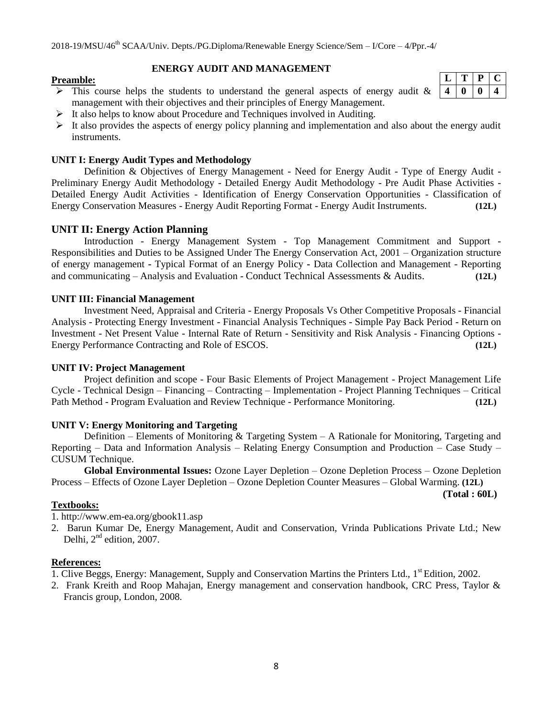## **ENERGY AUDIT AND MANAGEMENT**

#### **Preamble:**

- $\triangleright$  This course helps the students to understand the general aspects of energy audit & management with their objectives and their principles of Energy Management.
- $\triangleright$  It also helps to know about Procedure and Techniques involved in Auditing.
- $\triangleright$  It also provides the aspects of energy policy planning and implementation and also about the energy audit instruments.

#### **UNIT I: Energy Audit Types and Methodology**

Definition & Objectives of Energy Management - Need for Energy Audit - Type of Energy Audit - Preliminary Energy Audit Methodology - Detailed Energy Audit Methodology - Pre Audit Phase Activities - Detailed Energy Audit Activities - Identification of Energy Conservation Opportunities - Classification of Energy Conservation Measures - Energy Audit Reporting Format - Energy Audit Instruments. **(12L)**

## **UNIT II: Energy Action Planning**

Introduction - Energy Management System - Top Management Commitment and Support - Responsibilities and Duties to be Assigned Under The Energy Conservation Act, 2001 – Organization structure of energy management **-** Typical Format of an Energy Policy **-** Data Collection and Management - Reporting and communicating – Analysis and Evaluation - Conduct Technical Assessments & Audits. **(12L)**

#### **UNIT III: Financial Management**

Investment Need, Appraisal and Criteria - Energy Proposals Vs Other Competitive Proposals - Financial Analysis - Protecting Energy Investment - Financial Analysis Techniques - Simple Pay Back Period - Return on Investment - Net Present Value - Internal Rate of Return - Sensitivity and Risk Analysis - Financing Options - Energy Performance Contracting and Role of ESCOS. **(12L)**

## **UNIT IV: Project Management**

Project definition and scope - Four Basic Elements of Project Management - Project Management Life Cycle - Technical Design – Financing – Contracting – Implementation - Project Planning Techniques – Critical Path Method - Program Evaluation and Review Technique - Performance Monitoring. **(12L)**

#### **UNIT V: Energy Monitoring and Targeting**

Definition – Elements of Monitoring  $& Targeting System - A Rational for Monitoring, Targeting and$ Reporting – Data and Information Analysis – Relating Energy Consumption and Production – Case Study – CUSUM Technique.

**Global Environmental Issues:** Ozone Layer Depletion – Ozone Depletion Process – Ozone Depletion Process – Effects of Ozone Layer Depletion – Ozone Depletion Counter Measures – Global Warming. **(12L)**

**(Total : 60L)**

## **Textbooks:**

1. http://www.em-ea.org/gbook11.asp

2. Barun Kumar De, Energy Management, Audit and Conservation, Vrinda Publications Private Ltd.; New Delhi,  $2<sup>nd</sup>$  edition, 2007.

# **References:**

- 1. Clive Beggs, Energy: Management, Supply and Conservation Martins the Printers Ltd., 1<sup>st</sup> Edition, 2002.
- 2. Frank Kreith and Roop Mahajan, Energy management and conservation handbook, CRC Press, Taylor & Francis group, London, 2008.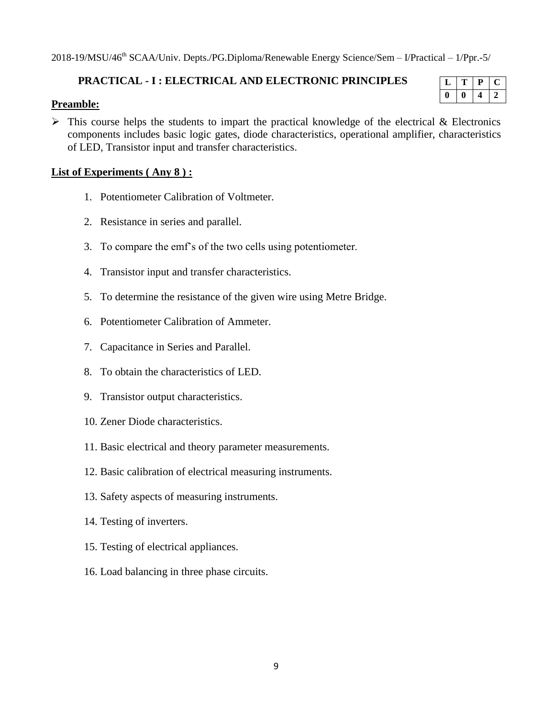2018-19/MSU/46th SCAA/Univ. Depts./PG.Diploma/Renewable Energy Science/Sem – I/Practical – 1/Ppr.-5/

# **PRACTICAL - I : ELECTRICAL AND ELECTRONIC PRINCIPLES**

# **Preamble:**

 $\triangleright$  This course helps the students to impart the practical knowledge of the electrical & Electronics components includes basic logic gates, diode characteristics, operational amplifier, characteristics of LED, Transistor input and transfer characteristics.

# **List of Experiments ( Any 8 ) :**

- 1. Potentiometer Calibration of Voltmeter.
- 2. Resistance in series and parallel.
- 3. To compare the emf"s of the two cells using potentiometer.
- 4. Transistor input and transfer characteristics.
- 5. To determine the resistance of the given wire using Metre Bridge.
- 6. Potentiometer Calibration of Ammeter.
- 7. Capacitance in Series and Parallel.
- 8. To obtain the characteristics of LED.
- 9. Transistor output characteristics.
- 10. Zener Diode characteristics.
- 11. Basic electrical and theory parameter measurements.
- 12. Basic calibration of electrical measuring instruments.
- 13. Safety aspects of measuring instruments.
- 14. Testing of inverters.
- 15. Testing of electrical appliances.
- 16. Load balancing in three phase circuits.

|  | п. | r. |
|--|----|----|
|  |    |    |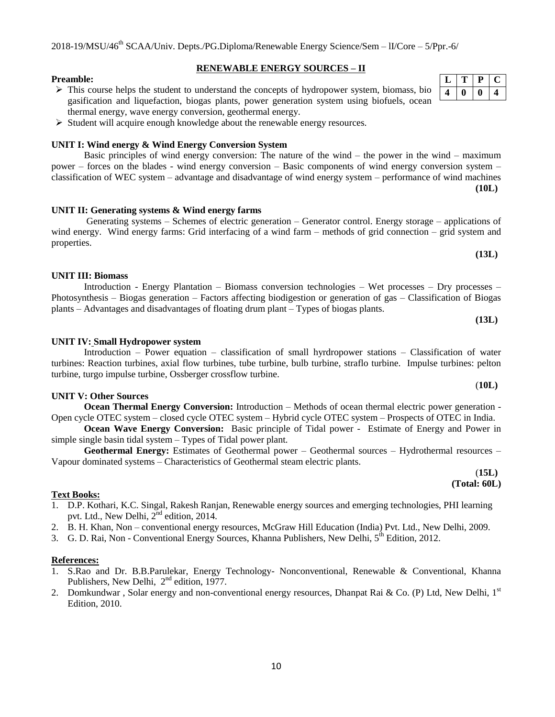#### **RENEWABLE ENERGY SOURCES – II**

- $\triangleright$  This course helps the student to understand the concepts of hydropower system, biomass, bio gasification and liquefaction, biogas plants, power generation system using biofuels, ocean thermal energy, wave energy conversion, geothermal energy.
- $\triangleright$  Student will acquire enough knowledge about the renewable energy resources.

#### **UNIT I: Wind energy & Wind Energy Conversion System**

Basic principles of wind energy conversion: The nature of the wind – the power in the wind – maximum power – forces on the blades - wind energy conversion – Basic components of wind energy conversion system – classification of WEC system – advantage and disadvantage of wind energy system – performance of wind machines **(10L)**

wind energy. Wind energy farms: Grid interfacing of a wind farm – methods of grid connection – grid system and

#### **UNIT II: Generating systems & Wind energy farms** Generating systems – Schemes of electric generation – Generator control. Energy storage – applications of

#### **UNIT III: Biomass**

properties.

**Preamble:**

#### Introduction - Energy Plantation – Biomass conversion technologies – Wet processes – Dry processes – Photosynthesis – Biogas generation – Factors affecting biodigestion or generation of gas – Classification of Biogas plants – Advantages and disadvantages of floating drum plant – Types of biogas plants. **(13L)**

#### **UNIT IV: Small Hydropower system**

Introduction – Power equation – classification of small hyrdropower stations – Classification of water turbines: Reaction turbines, axial flow turbines, tube turbine, bulb turbine, straflo turbine. Impulse turbines: pelton turbine, turgo impulse turbine, Ossberger crossflow turbine.

#### **UNIT V: Other Sources**

**Ocean Thermal Energy Conversion:** Introduction – Methods of ocean thermal electric power generation - Open cycle OTEC system – closed cycle OTEC system – Hybrid cycle OTEC system – Prospects of OTEC in India.

**Ocean Wave Energy Conversion:** Basic principle of Tidal power - Estimate of Energy and Power in simple single basin tidal system – Types of Tidal power plant.

**Geothermal Energy:** Estimates of Geothermal power – Geothermal sources – Hydrothermal resources – Vapour dominated systems – Characteristics of Geothermal steam electric plants.

#### **Text Books:**

- 1. D.P. Kothari, K.C. Singal, Rakesh Ranjan, Renewable energy sources and emerging technologies, PHI learning pvt. Ltd., New Delhi, 2<sup>nd</sup> edition, 2014.
- 2. B. H. Khan, Non conventional energy resources, McGraw Hill Education (India) Pvt. Ltd., New Delhi, 2009.
- 3. G. D. Rai, Non Conventional Energy Sources, Khanna Publishers, New Delhi, 5<sup>th</sup> Edition, 2012.

#### **References:**

- 1. S.Rao and Dr. B.B.Parulekar, Energy Technology- Nonconventional, Renewable & Conventional, Khanna Publishers, New Delhi,  $2<sup>nd</sup>$  edition, 1977.
- 2. Domkundwar, Solar energy and non-conventional energy resources, Dhanpat Rai & Co. (P) Ltd, New Delhi,  $1<sup>st</sup>$ Edition, 2010.

**(13L)**

(**10L)**

(**15L) (Total: 60L)**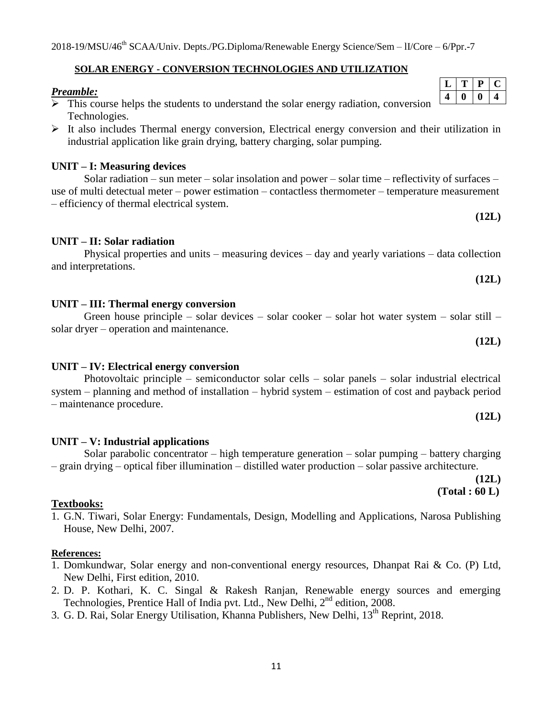## **SOLAR ENERGY - CONVERSION TECHNOLOGIES AND UTILIZATION**

### *Preamble:*

- $\triangleright$  This course helps the students to understand the solar energy radiation, conversion Technologies.
- $\triangleright$  It also includes Thermal energy conversion, Electrical energy conversion and their utilization in industrial application like grain drying, battery charging, solar pumping.

#### **UNIT – I: Measuring devices**

Solar radiation – sun meter – solar insolation and power – solar time – reflectivity of surfaces – use of multi detectual meter – power estimation – contactless thermometer – temperature measurement – efficiency of thermal electrical system.

## **UNIT – II: Solar radiation**

Physical properties and units – measuring devices – day and yearly variations – data collection and interpretations.

## **UNIT – III: Thermal energy conversion**

# Green house principle – solar devices – solar cooker – solar hot water system – solar still – solar dryer – operation and maintenance. **(12L)**

#### **UNIT – IV: Electrical energy conversion**

# Photovoltaic principle – semiconductor solar cells – solar panels – solar industrial electrical system – planning and method of installation – hybrid system – estimation of cost and payback period – maintenance procedure.

Solar parabolic concentrator – high temperature generation – solar pumping – battery charging

## **UNIT – V: Industrial applications**

## **Textbooks:**

1. G.N. Tiwari, Solar Energy: Fundamentals, Design, Modelling and Applications, Narosa Publishing House, New Delhi, 2007.

– grain drying – optical fiber illumination – distilled water production – solar passive architecture.

#### **References:**

- 1. Domkundwar, Solar energy and non-conventional energy resources, Dhanpat Rai & Co. (P) Ltd, New Delhi, First edition, 2010.
- 2. D. P. Kothari, K. C. Singal & Rakesh Ranjan, Renewable energy sources and emerging Technologies, Prentice Hall of India pvt. Ltd., New Delhi, 2<sup>nd</sup> edition, 2008.
- 3. G. D. Rai, Solar Energy Utilisation, Khanna Publishers, New Delhi, 13<sup>th</sup> Reprint, 2018.

**(12L)**

**(12L)**

 **(Total : 60 L)**

**(12L)**

**(12L)**